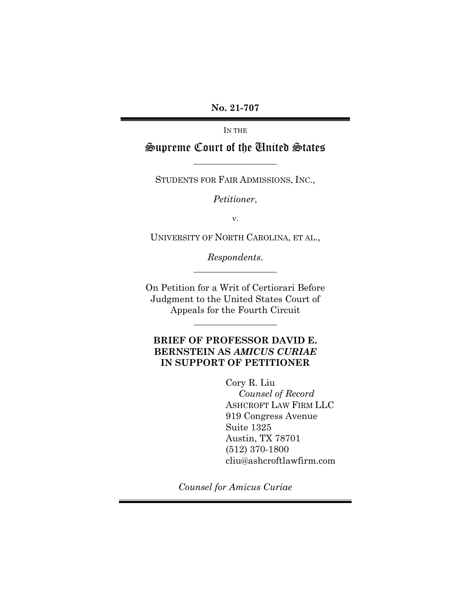**No. 21-707**

IN THE

# Supreme Court of the United States

STUDENTS FOR FAIR ADMISSIONS, INC.,

*Petitioner*,

v.

UNIVERSITY OF NORTH CAROLINA, ET AL.,

*Respondents*.

On Petition for a Writ of Certiorari Before Judgment to the United States Court of Appeals for the Fourth Circuit

## **BRIEF OF PROFESSOR DAVID E. BERNSTEIN AS** *AMICUS CURIAE*  **IN SUPPORT OF PETITIONER**

Cory R. Liu

 *Counsel of Record* ASHCROFT LAW FIRM LLC 919 Congress Avenue Suite 1325 Austin, TX 78701 (512) 370-1800 cliu@ashcroftlawfirm.com

*Counsel for Amicus Curiae*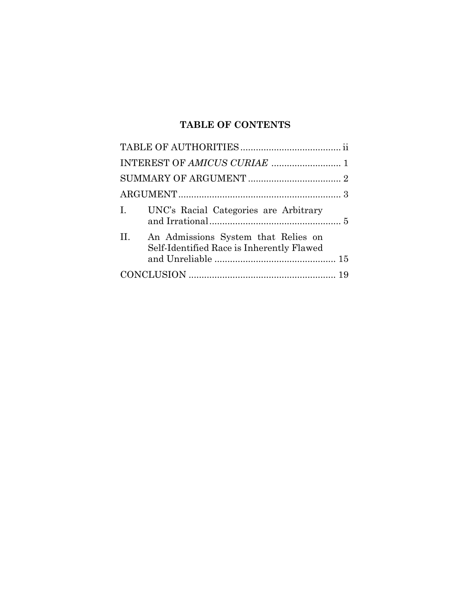# **TABLE OF CONTENTS**

| UNC's Racial Categories are Arbitrary<br>$\mathbf{I}$ .                                 |
|-----------------------------------------------------------------------------------------|
| II.<br>An Admissions System that Relies on<br>Self-Identified Race is Inherently Flawed |
|                                                                                         |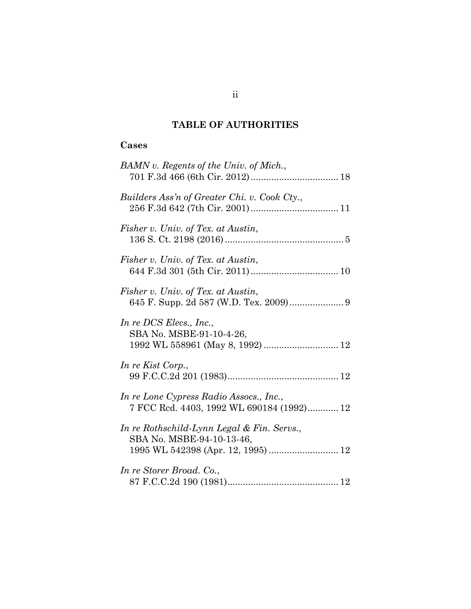# **TABLE OF AUTHORITIES**

## **Cases**

| BAMN v. Regents of the Univ. of Mich.,                                                                        |
|---------------------------------------------------------------------------------------------------------------|
| Builders Ass'n of Greater Chi. v. Cook Cty.,                                                                  |
| Fisher v. Univ. of Tex. at Austin,                                                                            |
| Fisher v. Univ. of Tex. at Austin,                                                                            |
| Fisher v. Univ. of Tex. at Austin,                                                                            |
| In re DCS Elecs., Inc.,<br>SBA No. MSBE-91-10-4-26,                                                           |
| In re Kist Corp.,                                                                                             |
| In re Lone Cypress Radio Assocs., Inc.,<br>7 FCC Rcd. 4403, 1992 WL 690184 (1992) 12                          |
| In re Rothschild-Lynn Legal & Fin. Servs.,<br>SBA No. MSBE-94-10-13-46,<br>1995 WL 542398 (Apr. 12, 1995)  12 |
| In re Storer Broad. Co.,                                                                                      |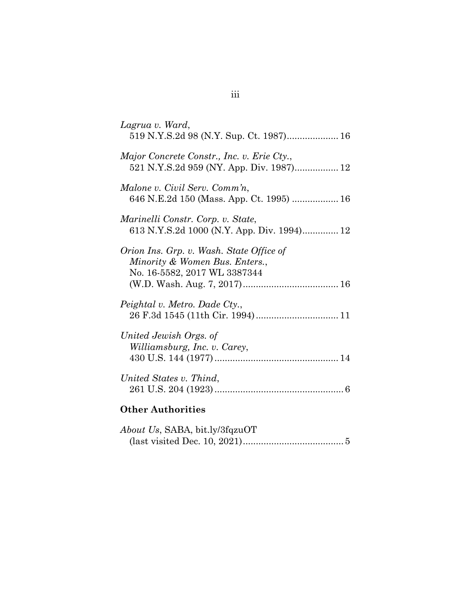| Lagrua v. Ward,<br>519 N.Y.S.2d 98 (N.Y. Sup. Ct. 1987) 16                                                       |
|------------------------------------------------------------------------------------------------------------------|
| Major Concrete Constr., Inc. v. Erie Cty.,<br>521 N.Y.S.2d 959 (NY. App. Div. 1987) 12                           |
| Malone v. Civil Serv. Comm'n,<br>646 N.E.2d 150 (Mass. App. Ct. 1995)  16                                        |
| Marinelli Constr. Corp. v. State,<br>613 N.Y.S.2d 1000 (N.Y. App. Div. 1994) 12                                  |
| Orion Ins. Grp. v. Wash. State Office of<br>Minority & Women Bus. Enters.,<br>No. 16-5582, 2017 WL 3387344       |
| Peightal v. Metro. Dade Cty.,                                                                                    |
| United Jewish Orgs. of<br>Williamsburg, Inc. v. Carey,                                                           |
| United States v. Thind,                                                                                          |
| <b>Other Authorities</b>                                                                                         |
| $AL_{i}$ $H_{i}$ $N_{i}$ $N_{i}$ $N_{i}$ $R_{i}$ $R_{i}$ $R_{i}$ $R_{i}$ $R_{i}$ $R_{i}$ $R_{i}$ $R_{i}$ $R_{i}$ |

| <i>About Us, SABA, bit.ly/3fqzuOT</i> |
|---------------------------------------|
|                                       |

# iii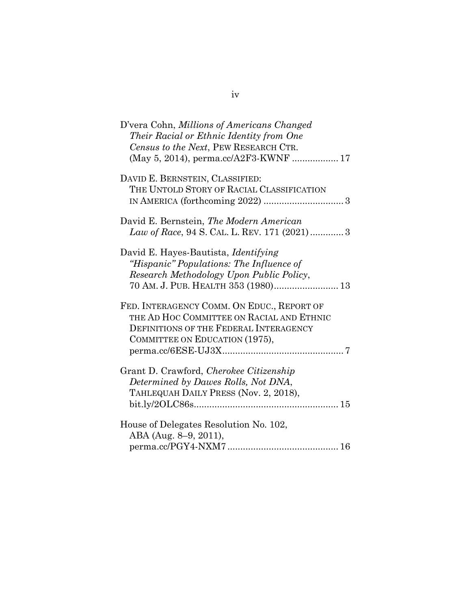| D'vera Cohn, Millions of Americans Changed   |
|----------------------------------------------|
| Their Racial or Ethnic Identity from One     |
| Census to the Next, PEW RESEARCH CTR.        |
| (May 5, 2014), perma.cc/A2F3-KWNF  17        |
| DAVID E. BERNSTEIN, CLASSIFIED:              |
| THE UNTOLD STORY OF RACIAL CLASSIFICATION    |
|                                              |
|                                              |
| David E. Bernstein, The Modern American      |
| Law of Race, 94 S. CAL. L. REV. 171 (2021) 3 |
|                                              |
| David E. Hayes-Bautista, <i>Identifying</i>  |
| "Hispanic" Populations: The Influence of     |
| Research Methodology Upon Public Policy,     |
| 70 AM. J. PUB. HEALTH 353 (1980) 13          |
|                                              |
| FED. INTERAGENCY COMM. ON EDUC., REPORT OF   |
| THE AD HOC COMMITTEE ON RACIAL AND ETHNIC    |
| DEFINITIONS OF THE FEDERAL INTERAGENCY       |
| COMMITTEE ON EDUCATION (1975),               |
|                                              |
|                                              |
| Grant D. Crawford, Cherokee Citizenship      |
| Determined by Dawes Rolls, Not DNA,          |
| TAHLEQUAH DAILY PRESS (Nov. 2, 2018),        |
|                                              |
|                                              |
| House of Delegates Resolution No. 102,       |
| ABA (Aug. 8–9, 2011),                        |
|                                              |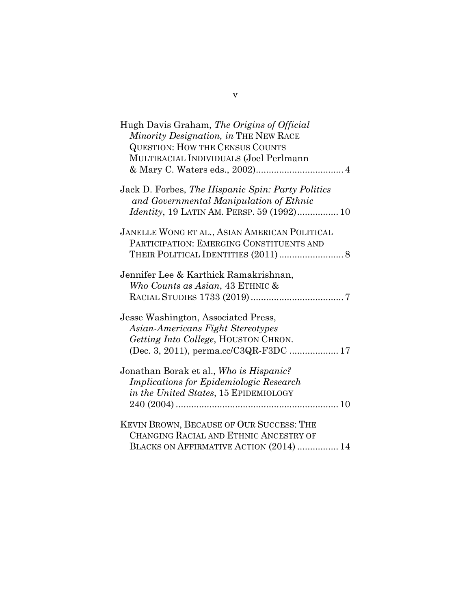| Hugh Davis Graham, The Origins of Official<br>Minority Designation, in THE NEW RACE<br><b>QUESTION: HOW THE CENSUS COUNTS</b><br>MULTIRACIAL INDIVIDUALS (Joel Perlmann |
|-------------------------------------------------------------------------------------------------------------------------------------------------------------------------|
| Jack D. Forbes, The Hispanic Spin: Party Politics<br>and Governmental Manipulation of Ethnic<br><i>Identity</i> , 19 LATIN AM. PERSP. 59 (1992) 10                      |
| JANELLE WONG ET AL., ASIAN AMERICAN POLITICAL<br>PARTICIPATION: EMERGING CONSTITUENTS AND                                                                               |
| Jennifer Lee & Karthick Ramakrishnan,<br>Who Counts as Asian, 43 ETHNIC &                                                                                               |
| Jesse Washington, Associated Press,<br>Asian-Americans Fight Stereotypes<br>Getting Into College, HOUSTON CHRON.                                                        |
| Jonathan Borak et al., Who is Hispanic?<br>Implications for Epidemiologic Research<br>in the United States, 15 EPIDEMIOLOGY                                             |
| KEVIN BROWN, BECAUSE OF OUR SUCCESS: THE<br>CHANGING RACIAL AND ETHNIC ANCESTRY OF<br>BLACKS ON AFFIRMATIVE ACTION (2014)  14                                           |

v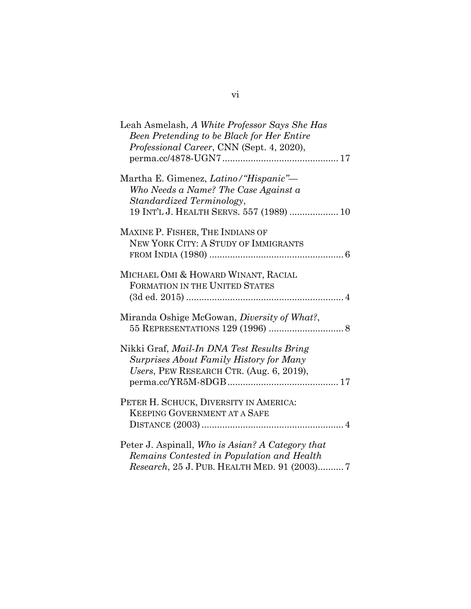| Leah Asmelash, A White Professor Says She Has<br>Been Pretending to be Black for Her Entire<br>Professional Career, CNN (Sept. 4, 2020),               |
|--------------------------------------------------------------------------------------------------------------------------------------------------------|
| Martha E. Gimenez, Latino/"Hispanic"-<br>Who Needs a Name? The Case Against a<br>Standardized Terminology,<br>19 INT'L J. HEALTH SERVS. 557 (1989)  10 |
| MAXINE P. FISHER, THE INDIANS OF<br>NEW YORK CITY: A STUDY OF IMMIGRANTS                                                                               |
| MICHAEL OMI & HOWARD WINANT, RACIAL<br>FORMATION IN THE UNITED STATES                                                                                  |
| Miranda Oshige McGowan, Diversity of What?,                                                                                                            |
| Nikki Graf, Mail-In DNA Test Results Bring<br>Surprises About Family History for Many<br>Users, PEW RESEARCH CTR. (Aug. 6, 2019),                      |
| PETER H. SCHUCK, DIVERSITY IN AMERICA:<br><b>KEEPING GOVERNMENT AT A SAFE</b>                                                                          |
| Peter J. Aspinall, Who is Asian? A Category that<br>Remains Contested in Population and Health<br>Research, 25 J. PUB. HEALTH MED. 91 (2003)7          |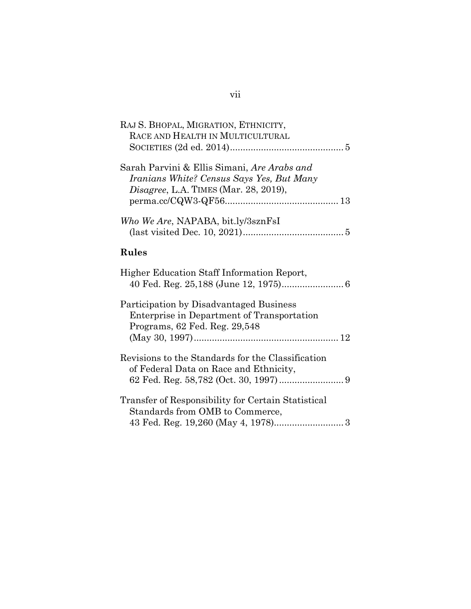| RAJ S. BHOPAL, MIGRATION, ETHNICITY,<br>RACE AND HEALTH IN MULTICULTURAL                                                                 |
|------------------------------------------------------------------------------------------------------------------------------------------|
| Sarah Parvini & Ellis Simani, Are Arabs and<br>Iranians White? Census Says Yes, But Many<br><i>Disagree, L.A. TIMES (Mar. 28, 2019),</i> |
| Who We Are, NAPABA, bit.ly/3sznFsI                                                                                                       |
| <b>Rules</b>                                                                                                                             |
| Higher Education Staff Information Report,                                                                                               |
| Participation by Disadvantaged Business<br>Enterprise in Department of Transportation<br>Programs, 62 Fed. Reg. 29,548                   |
| Revisions to the Standards for the Classification<br>of Federal Data on Race and Ethnicity,                                              |
| Transfer of Responsibility for Certain Statistical<br>Standards from OMB to Commerce,                                                    |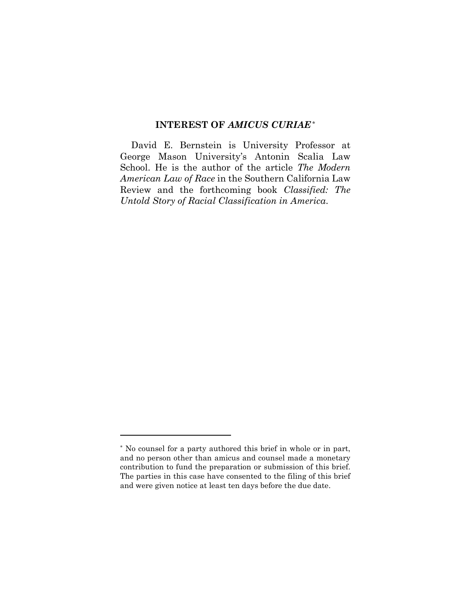#### **INTEREST OF** *AMICUS CURIAE*[\\*](#page-8-1)

<span id="page-8-0"></span>David E. Bernstein is University Professor at George Mason University's Antonin Scalia Law School. He is the author of the article *The Modern American Law of Race* in the Southern California Law Review and the forthcoming book *Classified: The Untold Story of Racial Classification in America*.

<span id="page-8-1"></span><sup>\*</sup> No counsel for a party authored this brief in whole or in part, and no person other than amicus and counsel made a monetary contribution to fund the preparation or submission of this brief. The parties in this case have consented to the filing of this brief and were given notice at least ten days before the due date.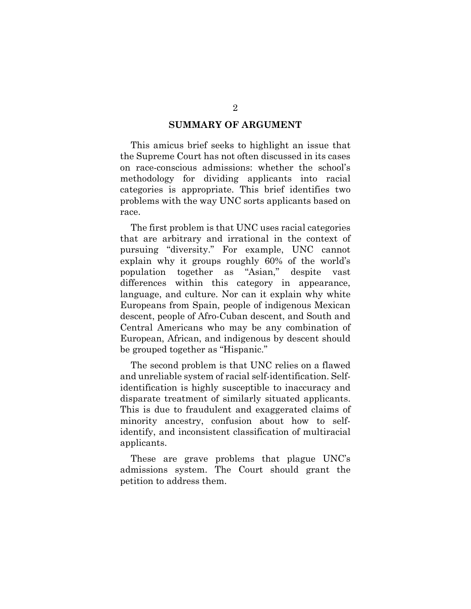#### **SUMMARY OF ARGUMENT**

<span id="page-9-0"></span>This amicus brief seeks to highlight an issue that the Supreme Court has not often discussed in its cases on race-conscious admissions: whether the school's methodology for dividing applicants into racial categories is appropriate. This brief identifies two problems with the way UNC sorts applicants based on race.

The first problem is that UNC uses racial categories that are arbitrary and irrational in the context of pursuing "diversity." For example, UNC cannot explain why it groups roughly 60% of the world's population together as "Asian," despite vast differences within this category in appearance, language, and culture. Nor can it explain why white Europeans from Spain, people of indigenous Mexican descent, people of Afro-Cuban descent, and South and Central Americans who may be any combination of European, African, and indigenous by descent should be grouped together as "Hispanic."

The second problem is that UNC relies on a flawed and unreliable system of racial self-identification. Selfidentification is highly susceptible to inaccuracy and disparate treatment of similarly situated applicants. This is due to fraudulent and exaggerated claims of minority ancestry, confusion about how to selfidentify, and inconsistent classification of multiracial applicants.

These are grave problems that plague UNC's admissions system. The Court should grant the petition to address them.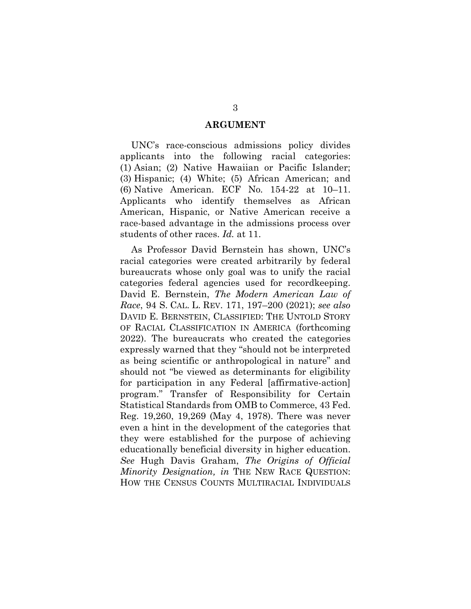#### **ARGUMENT**

<span id="page-10-0"></span>UNC's race-conscious admissions policy divides applicants into the following racial categories: (1) Asian; (2) Native Hawaiian or Pacific Islander; (3) Hispanic; (4) White; (5) African American; and (6) Native American. ECF No. 154-22 at 10–11. Applicants who identify themselves as African American, Hispanic, or Native American receive a race-based advantage in the admissions process over students of other races. *Id.* at 11.

As Professor David Bernstein has shown, UNC's racial categories were created arbitrarily by federal bureaucrats whose only goal was to unify the racial categories federal agencies used for recordkeeping. David E. Bernstein, *The Modern American Law of Race*, 94 S. CAL. L. REV. 171, 197–200 (2021); *see also* DAVID E. BERNSTEIN, CLASSIFIED: THE UNTOLD STORY OF RACIAL CLASSIFICATION IN AMERICA (forthcoming 2022). The bureaucrats who created the categories expressly warned that they "should not be interpreted as being scientific or anthropological in nature" and should not "be viewed as determinants for eligibility for participation in any Federal [affirmative-action] program." Transfer of Responsibility for Certain Statistical Standards from OMB to Commerce, 43 Fed. Reg. 19,260, 19,269 (May 4, 1978). There was never even a hint in the development of the categories that they were established for the purpose of achieving educationally beneficial diversity in higher education. *See* Hugh Davis Graham, *The Origins of Official Minority Designation, in* THE NEW RACE QUESTION: HOW THE CENSUS COUNTS MULTIRACIAL INDIVIDUALS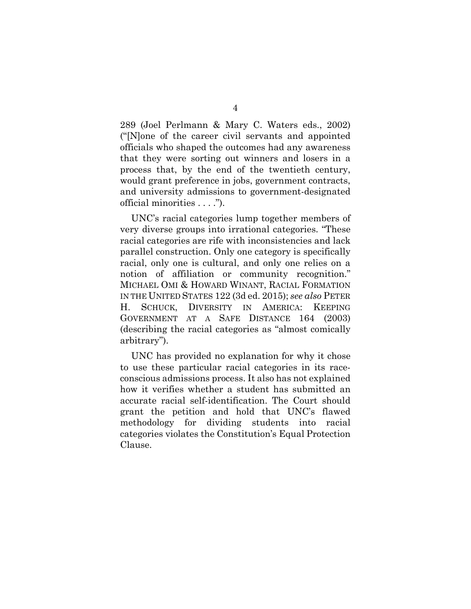289 (Joel Perlmann & Mary C. Waters eds., 2002) ("[N]one of the career civil servants and appointed officials who shaped the outcomes had any awareness that they were sorting out winners and losers in a process that, by the end of the twentieth century, would grant preference in jobs, government contracts, and university admissions to government-designated official minorities . . . .").

UNC's racial categories lump together members of very diverse groups into irrational categories. "These racial categories are rife with inconsistencies and lack parallel construction. Only one category is specifically racial, only one is cultural, and only one relies on a notion of affiliation or community recognition." MICHAEL OMI & HOWARD WINANT, RACIAL FORMATION IN THE UNITED STATES 122 (3d ed. 2015); *see also* PETER H. SCHUCK, DIVERSITY IN AMERICA: KEEPING GOVERNMENT AT A SAFE DISTANCE 164 (2003) (describing the racial categories as "almost comically arbitrary").

UNC has provided no explanation for why it chose to use these particular racial categories in its raceconscious admissions process. It also has not explained how it verifies whether a student has submitted an accurate racial self-identification. The Court should grant the petition and hold that UNC's flawed methodology for dividing students into racial categories violates the Constitution's Equal Protection Clause.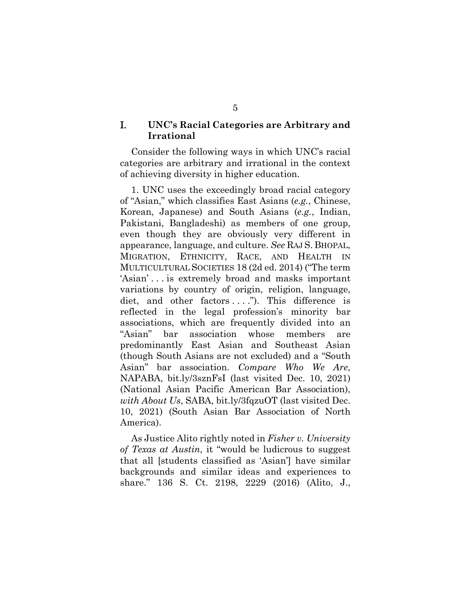#### <span id="page-12-0"></span>I. **UNC's Racial Categories are Arbitrary and Irrational**

Consider the following ways in which UNC's racial categories are arbitrary and irrational in the context of achieving diversity in higher education.

1. UNC uses the exceedingly broad racial category of "Asian," which classifies East Asians (*e.g.*, Chinese, Korean, Japanese) and South Asians (*e.g.*, Indian, Pakistani, Bangladeshi) as members of one group, even though they are obviously very different in appearance, language, and culture. *See* RAJ S. BHOPAL, MIGRATION, ETHNICITY, RACE, AND HEALTH IN MULTICULTURAL SOCIETIES 18 (2d ed. 2014) ("The term 'Asian' . . . is extremely broad and masks important variations by country of origin, religion, language, diet, and other factors ...."). This difference is reflected in the legal profession's minority bar associations, which are frequently divided into an "Asian" bar association whose members are predominantly East Asian and Southeast Asian (though South Asians are not excluded) and a "South Asian" bar association. *Compare Who We Are*, NAPABA, bit.ly/3sznFsI (last visited Dec. 10, 2021) (National Asian Pacific American Bar Association), *with About Us*, SABA, bit.ly/3fqzuOT (last visited Dec. 10, 2021) (South Asian Bar Association of North America).

As Justice Alito rightly noted in *Fisher v. University of Texas at Austin*, it "would be ludicrous to suggest that all [students classified as 'Asian'] have similar backgrounds and similar ideas and experiences to share." 136 S. Ct. 2198, 2229 (2016) (Alito, J.,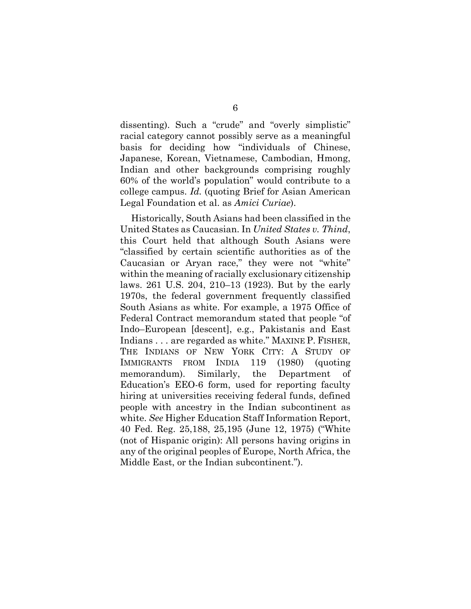dissenting). Such a "crude" and "overly simplistic" racial category cannot possibly serve as a meaningful basis for deciding how "individuals of Chinese, Japanese, Korean, Vietnamese, Cambodian, Hmong, Indian and other backgrounds comprising roughly 60% of the world's population" would contribute to a college campus. *Id.* (quoting Brief for Asian American Legal Foundation et al. as *Amici Curiae*).

Historically, South Asians had been classified in the United States as Caucasian. In *United States v. Thind*, this Court held that although South Asians were "classified by certain scientific authorities as of the Caucasian or Aryan race," they were not "white" within the meaning of racially exclusionary citizenship laws. 261 U.S. 204, 210–13 (1923). But by the early 1970s, the federal government frequently classified South Asians as white. For example, a 1975 Office of Federal Contract memorandum stated that people "of Indo–European [descent], e.g., Pakistanis and East Indians . . . are regarded as white." MAXINE P. FISHER, THE INDIANS OF NEW YORK CITY: A STUDY OF IMMIGRANTS FROM INDIA 119 (1980) (quoting memorandum). Similarly, the Department of Education's EEO-6 form, used for reporting faculty hiring at universities receiving federal funds, defined people with ancestry in the Indian subcontinent as white. *See* Higher Education Staff Information Report, 40 Fed. Reg. 25,188, 25,195 (June 12, 1975) ("White (not of Hispanic origin): All persons having origins in any of the original peoples of Europe, North Africa, the Middle East, or the Indian subcontinent.").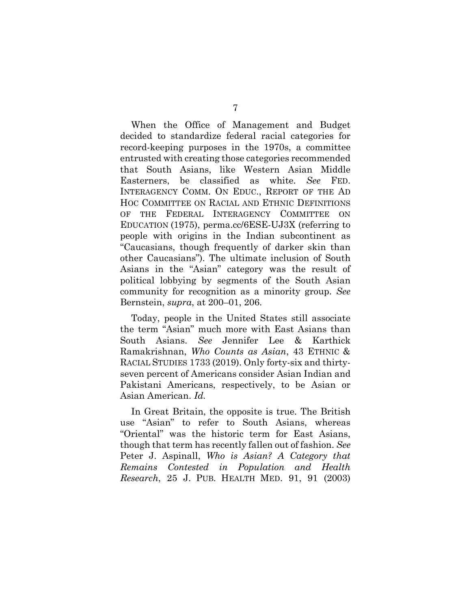When the Office of Management and Budget decided to standardize federal racial categories for record-keeping purposes in the 1970s, a committee entrusted with creating those categories recommended that South Asians, like Western Asian Middle Easterners, be classified as white. *See* FED. INTERAGENCY COMM. ON EDUC., REPORT OF THE AD HOC COMMITTEE ON RACIAL AND ETHNIC DEFINITIONS OF THE FEDERAL INTERAGENCY COMMITTEE ON EDUCATION (1975), perma.cc/6ESE-UJ3X (referring to people with origins in the Indian subcontinent as "Caucasians, though frequently of darker skin than other Caucasians"). The ultimate inclusion of South Asians in the "Asian" category was the result of political lobbying by segments of the South Asian community for recognition as a minority group. *See* Bernstein, *supra*, at 200–01, 206.

Today, people in the United States still associate the term "Asian" much more with East Asians than South Asians. *See* Jennifer Lee & Karthick Ramakrishnan, *Who Counts as Asian*, 43 ETHNIC & RACIAL STUDIES 1733 (2019). Only forty-six and thirtyseven percent of Americans consider Asian Indian and Pakistani Americans, respectively, to be Asian or Asian American. *Id.*

In Great Britain, the opposite is true. The British use "Asian" to refer to South Asians, whereas "Oriental" was the historic term for East Asians, though that term has recently fallen out of fashion. *See* Peter J. Aspinall, *Who is Asian? A Category that Remains Contested in Population and Health Research*, 25 J. PUB. HEALTH MED. 91, 91 (2003)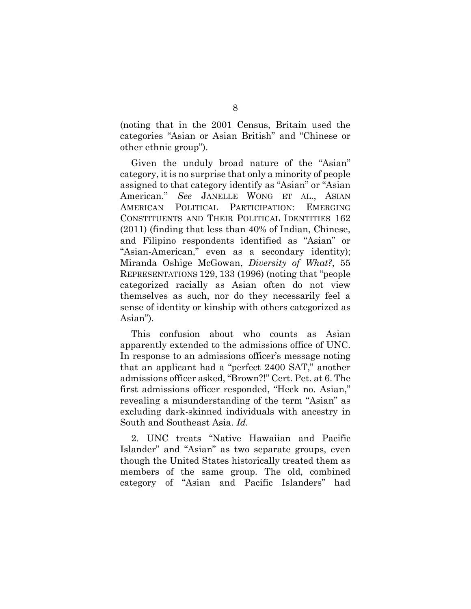(noting that in the 2001 Census, Britain used the categories "Asian or Asian British" and "Chinese or other ethnic group").

Given the unduly broad nature of the "Asian" category, it is no surprise that only a minority of people assigned to that category identify as "Asian" or "Asian American." *See* JANELLE WONG ET AL., ASIAN AMERICAN POLITICAL PARTICIPATION: EMERGING CONSTITUENTS AND THEIR POLITICAL IDENTITIES 162 (2011) (finding that less than 40% of Indian, Chinese, and Filipino respondents identified as "Asian" or "Asian-American," even as a secondary identity); Miranda Oshige McGowan, *Diversity of What?*, 55 REPRESENTATIONS 129, 133 (1996) (noting that "people categorized racially as Asian often do not view themselves as such, nor do they necessarily feel a sense of identity or kinship with others categorized as Asian").

This confusion about who counts as Asian apparently extended to the admissions office of UNC. In response to an admissions officer's message noting that an applicant had a "perfect 2400 SAT," another admissions officer asked, "Brown?!" Cert. Pet. at 6. The first admissions officer responded, "Heck no. Asian," revealing a misunderstanding of the term "Asian" as excluding dark-skinned individuals with ancestry in South and Southeast Asia. *Id.*

2. UNC treats "Native Hawaiian and Pacific Islander" and "Asian" as two separate groups, even though the United States historically treated them as members of the same group. The old, combined category of "Asian and Pacific Islanders" had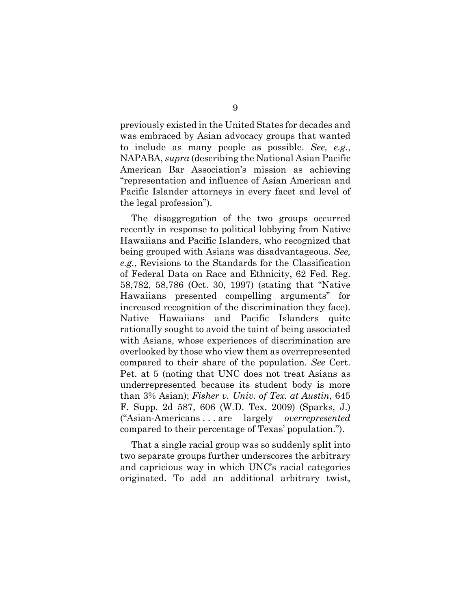previously existed in the United States for decades and was embraced by Asian advocacy groups that wanted to include as many people as possible. *See, e.g.*, NAPABA, *supra* (describing the National Asian Pacific American Bar Association's mission as achieving "representation and influence of Asian American and Pacific Islander attorneys in every facet and level of the legal profession").

The disaggregation of the two groups occurred recently in response to political lobbying from Native Hawaiians and Pacific Islanders, who recognized that being grouped with Asians was disadvantageous. *See, e.g.*, Revisions to the Standards for the Classification of Federal Data on Race and Ethnicity, 62 Fed. Reg. 58,782, 58,786 (Oct. 30, 1997) (stating that "Native Hawaiians presented compelling arguments" for increased recognition of the discrimination they face). Native Hawaiians and Pacific Islanders quite rationally sought to avoid the taint of being associated with Asians, whose experiences of discrimination are overlooked by those who view them as overrepresented compared to their share of the population. *See* Cert. Pet. at 5 (noting that UNC does not treat Asians as underrepresented because its student body is more than 3% Asian); *Fisher v. Univ. of Tex. at Austin*, 645 F. Supp. 2d 587, 606 (W.D. Tex. 2009) (Sparks, J.) ("Asian-Americans . . . are largely *overrepresented* compared to their percentage of Texas' population.").

That a single racial group was so suddenly split into two separate groups further underscores the arbitrary and capricious way in which UNC's racial categories originated. To add an additional arbitrary twist,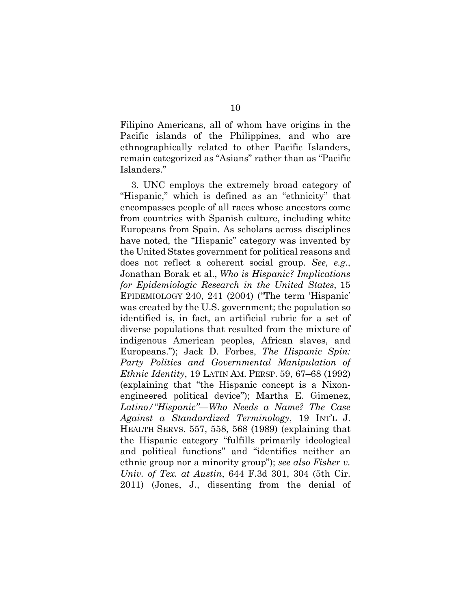Filipino Americans, all of whom have origins in the Pacific islands of the Philippines, and who are ethnographically related to other Pacific Islanders, remain categorized as "Asians" rather than as "Pacific Islanders."

3. UNC employs the extremely broad category of "Hispanic," which is defined as an "ethnicity" that encompasses people of all races whose ancestors come from countries with Spanish culture, including white Europeans from Spain. As scholars across disciplines have noted, the "Hispanic" category was invented by the United States government for political reasons and does not reflect a coherent social group. *See, e.g.*, Jonathan Borak et al., *Who is Hispanic? Implications for Epidemiologic Research in the United States*, 15 EPIDEMIOLOGY 240, 241 (2004) ("The term 'Hispanic' was created by the U.S. government; the population so identified is, in fact, an artificial rubric for a set of diverse populations that resulted from the mixture of indigenous American peoples, African slaves, and Europeans."); Jack D. Forbes, *The Hispanic Spin: Party Politics and Governmental Manipulation of Ethnic Identity*, 19 LATIN AM. PERSP. 59, 67–68 (1992) (explaining that "the Hispanic concept is a Nixonengineered political device"); Martha E. Gimenez, *Latino/"Hispanic"—Who Needs a Name? The Case Against a Standardized Terminology*, 19 INT'L J. HEALTH SERVS. 557, 558, 568 (1989) (explaining that the Hispanic category "fulfills primarily ideological and political functions" and "identifies neither an ethnic group nor a minority group"); *see also Fisher v. Univ. of Tex. at Austin*, 644 F.3d 301, 304 (5th Cir. 2011) (Jones, J., dissenting from the denial of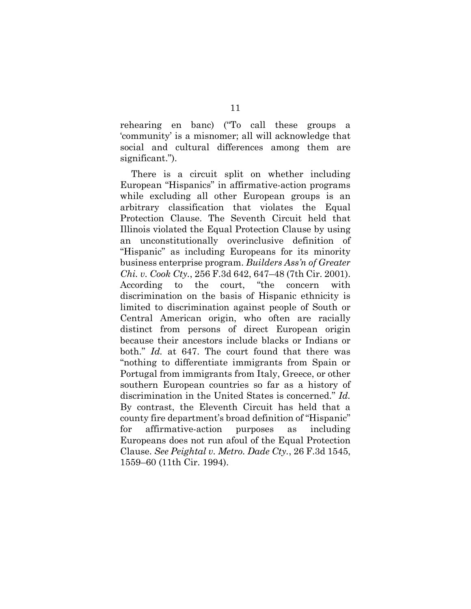rehearing en banc) ("To call these groups a 'community' is a misnomer; all will acknowledge that social and cultural differences among them are significant.").

There is a circuit split on whether including European "Hispanics" in affirmative-action programs while excluding all other European groups is an arbitrary classification that violates the Equal Protection Clause. The Seventh Circuit held that Illinois violated the Equal Protection Clause by using an unconstitutionally overinclusive definition of "Hispanic" as including Europeans for its minority business enterprise program. *Builders Ass'n of Greater Chi. v. Cook Cty.*, 256 F.3d 642, 647–48 (7th Cir. 2001). According to the court, "the concern with discrimination on the basis of Hispanic ethnicity is limited to discrimination against people of South or Central American origin, who often are racially distinct from persons of direct European origin because their ancestors include blacks or Indians or both." *Id.* at 647. The court found that there was "nothing to differentiate immigrants from Spain or Portugal from immigrants from Italy, Greece, or other southern European countries so far as a history of discrimination in the United States is concerned." *Id.* By contrast, the Eleventh Circuit has held that a county fire department's broad definition of "Hispanic" for affirmative-action purposes as including Europeans does not run afoul of the Equal Protection Clause. *See Peightal v. Metro. Dade Cty.*, 26 F.3d 1545, 1559–60 (11th Cir. 1994).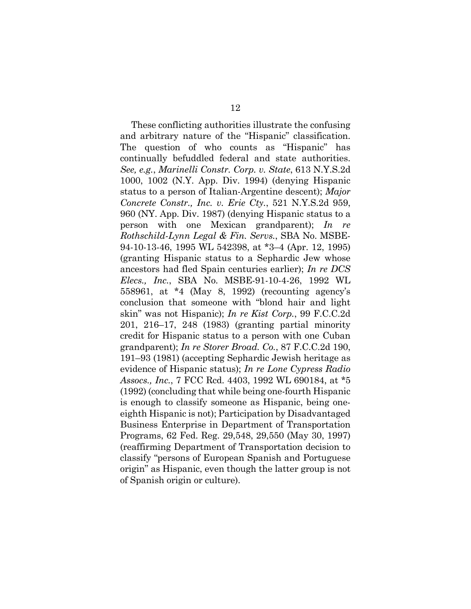These conflicting authorities illustrate the confusing and arbitrary nature of the "Hispanic" classification. The question of who counts as "Hispanic" has continually befuddled federal and state authorities. *See, e.g.*, *Marinelli Constr. Corp. v. State*, 613 N.Y.S.2d 1000, 1002 (N.Y. App. Div. 1994) (denying Hispanic status to a person of Italian-Argentine descent); *Major Concrete Constr., Inc. v. Erie Cty.*, 521 N.Y.S.2d 959, 960 (NY. App. Div. 1987) (denying Hispanic status to a person with one Mexican grandparent); *In re Rothschild-Lynn Legal & Fin. Servs.*, SBA No. MSBE-94-10-13-46, 1995 WL 542398, at \*3–4 (Apr. 12, 1995) (granting Hispanic status to a Sephardic Jew whose ancestors had fled Spain centuries earlier); *In re DCS Elecs., Inc.*, SBA No. MSBE-91-10-4-26, 1992 WL 558961, at \*4 (May 8, 1992) (recounting agency's conclusion that someone with "blond hair and light skin" was not Hispanic); *In re Kist Corp.*, 99 F.C.C.2d 201, 216–17, 248 (1983) (granting partial minority credit for Hispanic status to a person with one Cuban grandparent); *In re Storer Broad. Co.*, 87 F.C.C.2d 190, 191–93 (1981) (accepting Sephardic Jewish heritage as evidence of Hispanic status); *In re Lone Cypress Radio Assocs., Inc.*, 7 FCC Rcd. 4403, 1992 WL 690184, at \*5 (1992) (concluding that while being one-fourth Hispanic is enough to classify someone as Hispanic, being oneeighth Hispanic is not); Participation by Disadvantaged Business Enterprise in Department of Transportation Programs, 62 Fed. Reg. 29,548, 29,550 (May 30, 1997) (reaffirming Department of Transportation decision to classify "persons of European Spanish and Portuguese origin" as Hispanic, even though the latter group is not of Spanish origin or culture).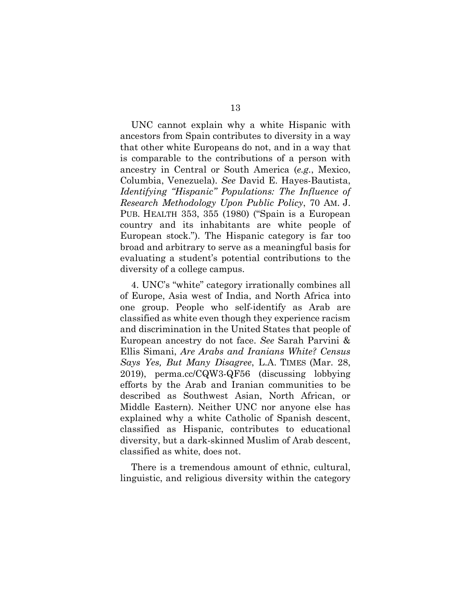UNC cannot explain why a white Hispanic with ancestors from Spain contributes to diversity in a way that other white Europeans do not, and in a way that is comparable to the contributions of a person with ancestry in Central or South America (*e.g.*, Mexico, Columbia, Venezuela). *See* David E. Hayes-Bautista, *Identifying "Hispanic" Populations: The Influence of Research Methodology Upon Public Policy*, 70 AM. J. PUB. HEALTH 353, 355 (1980) ("Spain is a European country and its inhabitants are white people of European stock."). The Hispanic category is far too broad and arbitrary to serve as a meaningful basis for evaluating a student's potential contributions to the diversity of a college campus.

4. UNC's "white" category irrationally combines all of Europe, Asia west of India, and North Africa into one group. People who self-identify as Arab are classified as white even though they experience racism and discrimination in the United States that people of European ancestry do not face. *See* Sarah Parvini & Ellis Simani, *Are Arabs and Iranians White? Census Says Yes, But Many Disagree*, L.A. TIMES (Mar. 28, 2019), perma.cc/CQW3-QF56 (discussing lobbying efforts by the Arab and Iranian communities to be described as Southwest Asian, North African, or Middle Eastern). Neither UNC nor anyone else has explained why a white Catholic of Spanish descent, classified as Hispanic, contributes to educational diversity, but a dark-skinned Muslim of Arab descent, classified as white, does not.

There is a tremendous amount of ethnic, cultural, linguistic, and religious diversity within the category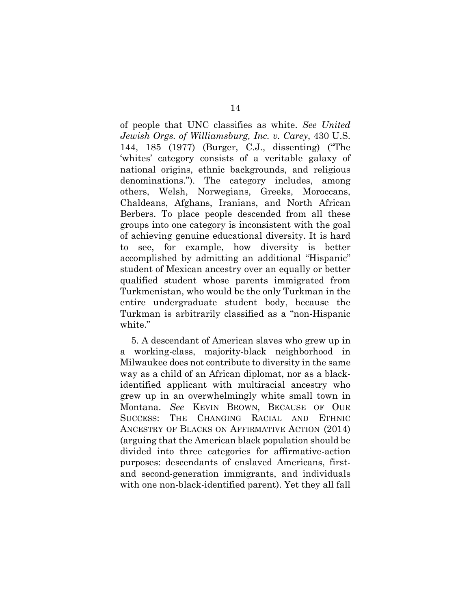of people that UNC classifies as white. *See United Jewish Orgs. of Williamsburg, Inc. v. Carey*, 430 U.S. 144, 185 (1977) (Burger, C.J., dissenting) ("The 'whites' category consists of a veritable galaxy of national origins, ethnic backgrounds, and religious denominations."). The category includes, among others, Welsh, Norwegians, Greeks, Moroccans, Chaldeans, Afghans, Iranians, and North African Berbers. To place people descended from all these groups into one category is inconsistent with the goal of achieving genuine educational diversity. It is hard to see, for example, how diversity is better accomplished by admitting an additional "Hispanic" student of Mexican ancestry over an equally or better qualified student whose parents immigrated from Turkmenistan, who would be the only Turkman in the entire undergraduate student body, because the Turkman is arbitrarily classified as a "non-Hispanic white."

5. A descendant of American slaves who grew up in a working-class, majority-black neighborhood in Milwaukee does not contribute to diversity in the same way as a child of an African diplomat, nor as a blackidentified applicant with multiracial ancestry who grew up in an overwhelmingly white small town in Montana. *See* KEVIN BROWN, BECAUSE OF OUR SUCCESS: THE CHANGING RACIAL AND ETHNIC ANCESTRY OF BLACKS ON AFFIRMATIVE ACTION (2014) (arguing that the American black population should be divided into three categories for affirmative-action purposes: descendants of enslaved Americans, firstand second-generation immigrants, and individuals with one non-black-identified parent). Yet they all fall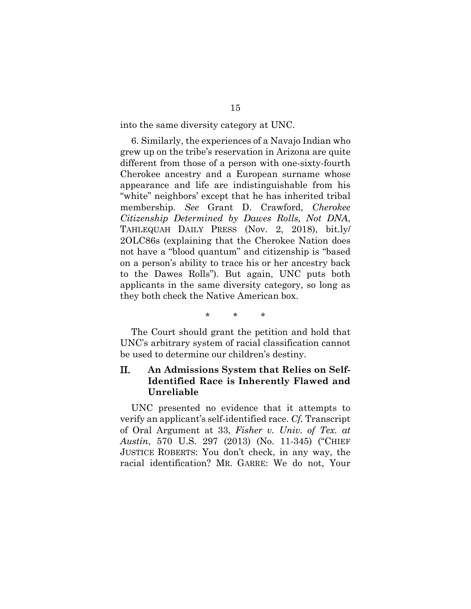into the same diversity category at UNC.

6. Similarly, the experiences of a Navajo Indian who grew up on the tribe's reservation in Arizona are quite different from those of a person with one-sixty-fourth Cherokee ancestry and a European surname whose appearance and life are indistinguishable from his "white" neighbors' except that he has inherited tribal membership. *See* Grant D. Crawford, *Cherokee Citizenship Determined by Dawes Rolls, Not DNA*, TAHLEQUAH DAILY PRESS (Nov. 2, 2018), bit.ly/ 2OLC86s (explaining that the Cherokee Nation does not have a "blood quantum" and citizenship is "based on a person's ability to trace his or her ancestry back to the Dawes Rolls"). But again, UNC puts both applicants in the same diversity category, so long as they both check the Native American box.

\* \* \*

The Court should grant the petition and hold that UNC's arbitrary system of racial classification cannot be used to determine our children's destiny.

### <span id="page-22-0"></span>II. **An Admissions System that Relies on Self-Identified Race is Inherently Flawed and Unreliable**

UNC presented no evidence that it attempts to verify an applicant's self-identified race. *Cf.* Transcript of Oral Argument at 33, *Fisher v. Univ. of Tex. at Austin*, 570 U.S. 297 (2013) (No. 11-345) ("CHIEF JUSTICE ROBERTS: You don't check, in any way, the racial identification? MR. GARRE: We do not, Your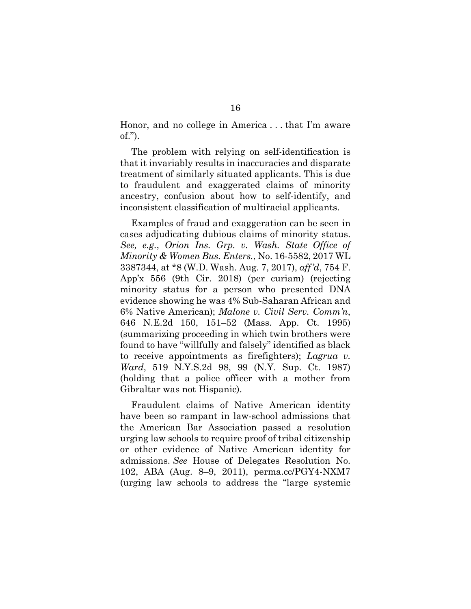Honor, and no college in America . . . that I'm aware of.").

The problem with relying on self-identification is that it invariably results in inaccuracies and disparate treatment of similarly situated applicants. This is due to fraudulent and exaggerated claims of minority ancestry, confusion about how to self-identify, and inconsistent classification of multiracial applicants.

Examples of fraud and exaggeration can be seen in cases adjudicating dubious claims of minority status. *See, e.g.*, *Orion Ins. Grp. v. Wash. State Office of Minority & Women Bus. Enters.*, No. 16-5582, 2017 WL 3387344, at \*8 (W.D. Wash. Aug. 7, 2017), *aff'd*, 754 F. App'x 556 (9th Cir. 2018) (per curiam) (rejecting minority status for a person who presented DNA evidence showing he was 4% Sub-Saharan African and 6% Native American); *Malone v. Civil Serv. Comm'n*, 646 N.E.2d 150, 151–52 (Mass. App. Ct. 1995) (summarizing proceeding in which twin brothers were found to have "willfully and falsely" identified as black to receive appointments as firefighters); *Lagrua v. Ward*, 519 N.Y.S.2d 98, 99 (N.Y. Sup. Ct. 1987) (holding that a police officer with a mother from Gibraltar was not Hispanic).

Fraudulent claims of Native American identity have been so rampant in law-school admissions that the American Bar Association passed a resolution urging law schools to require proof of tribal citizenship or other evidence of Native American identity for admissions. *See* House of Delegates Resolution No. 102, ABA (Aug. 8–9, 2011), perma.cc/PGY4-NXM7 (urging law schools to address the "large systemic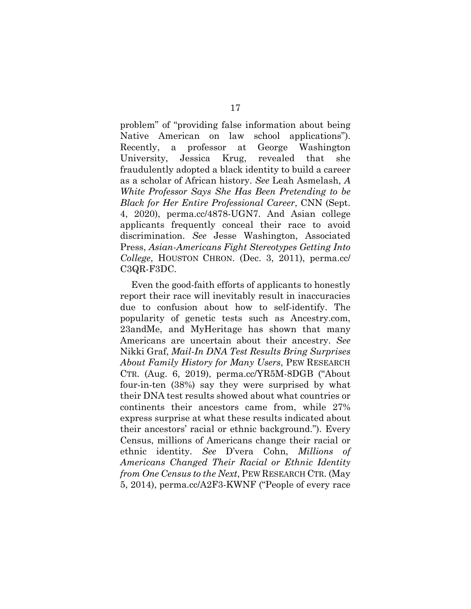problem" of "providing false information about being Native American on law school applications"). Recently, a professor at George Washington University, Jessica Krug, revealed that she fraudulently adopted a black identity to build a career as a scholar of African history. *See* Leah Asmelash, *A White Professor Says She Has Been Pretending to be Black for Her Entire Professional Career*, CNN (Sept. 4, 2020), perma.cc/4878-UGN7. And Asian college applicants frequently conceal their race to avoid discrimination. *See* Jesse Washington, Associated Press, *Asian-Americans Fight Stereotypes Getting Into College*, HOUSTON CHRON. (Dec. 3, 2011), perma.cc/ C3QR-F3DC.

Even the good-faith efforts of applicants to honestly report their race will inevitably result in inaccuracies due to confusion about how to self-identify. The popularity of genetic tests such as Ancestry.com, 23andMe, and MyHeritage has shown that many Americans are uncertain about their ancestry. *See* Nikki Graf, *Mail-In DNA Test Results Bring Surprises About Family History for Many Users*, PEW RESEARCH CTR. (Aug. 6, 2019), perma.cc/YR5M-8DGB ("About four-in-ten (38%) say they were surprised by what their DNA test results showed about what countries or continents their ancestors came from, while 27% express surprise at what these results indicated about their ancestors' racial or ethnic background."). Every Census, millions of Americans change their racial or ethnic identity. *See* D'vera Cohn, *Millions of Americans Changed Their Racial or Ethnic Identity from One Census to the Next*, PEW RESEARCH CTR. (May 5, 2014), perma.cc/A2F3-KWNF ("People of every race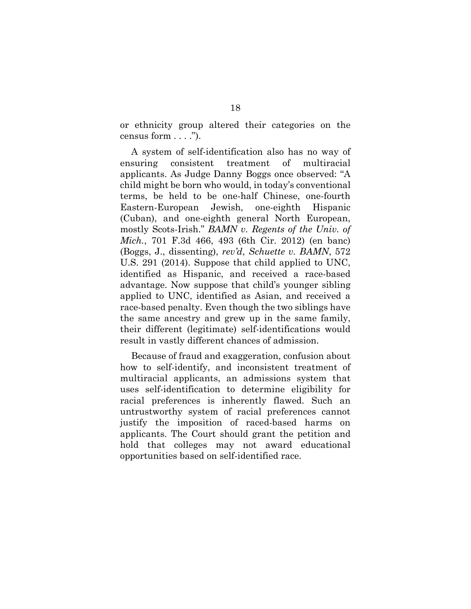or ethnicity group altered their categories on the census form . . . .").

A system of self-identification also has no way of ensuring consistent treatment of multiracial applicants. As Judge Danny Boggs once observed: "A child might be born who would, in today's conventional terms, be held to be one-half Chinese, one-fourth Eastern-European Jewish, one-eighth Hispanic (Cuban), and one-eighth general North European, mostly Scots-Irish." *BAMN v. Regents of the Univ. of Mich.*, 701 F.3d 466, 493 (6th Cir. 2012) (en banc) (Boggs, J., dissenting), *rev'd*, *Schuette v. BAMN*, 572 U.S. 291 (2014). Suppose that child applied to UNC, identified as Hispanic, and received a race-based advantage. Now suppose that child's younger sibling applied to UNC, identified as Asian, and received a race-based penalty. Even though the two siblings have the same ancestry and grew up in the same family, their different (legitimate) self-identifications would result in vastly different chances of admission.

Because of fraud and exaggeration, confusion about how to self-identify, and inconsistent treatment of multiracial applicants, an admissions system that uses self-identification to determine eligibility for racial preferences is inherently flawed. Such an untrustworthy system of racial preferences cannot justify the imposition of raced-based harms on applicants. The Court should grant the petition and hold that colleges may not award educational opportunities based on self-identified race.